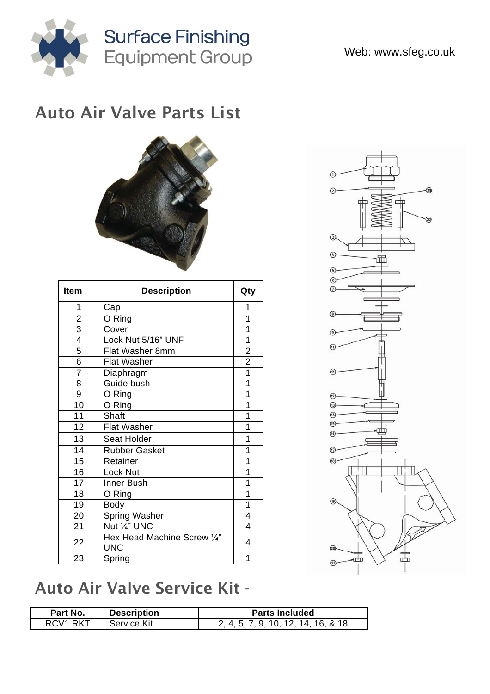

## Auto Air Valve Parts List



| <b>Item</b>    | <b>Description</b>                        | Qty            |
|----------------|-------------------------------------------|----------------|
| 1              | Cap                                       | 1              |
|                | O Ring                                    | 1              |
| $\frac{2}{3}$  | Cover                                     | 1              |
|                | Lock Nut 5/16" UNF                        | 1              |
| $\overline{5}$ | Flat Washer 8mm                           | $\overline{2}$ |
| $\overline{6}$ | <b>Flat Washer</b>                        | $\overline{2}$ |
| $\overline{7}$ | Diaphragm                                 | $\overline{1}$ |
| 8              | Guide bush                                | $\overline{1}$ |
| 9              | O Ring                                    | 1              |
| 10             | O Ring                                    | 1              |
| 11             | <b>Shaft</b>                              | 1              |
| 12             | <b>Flat Washer</b>                        | 1              |
| 13             | Seat Holder                               | 1              |
| 14             | <b>Rubber Gasket</b>                      | 1              |
| 15             | Retainer                                  | 1              |
| 16             | Lock Nut                                  | 1              |
| 17             | Inner Bush                                | 1              |
| 18             | O Ring                                    | 1              |
| 19             | <b>Body</b>                               | $\overline{1}$ |
| 20             | <b>Spring Washer</b>                      | 4              |
| 21             | Nut 1/4" UNC                              | 4              |
| 22             | Hex Head Machine Screw 1/4"<br><b>UNC</b> | 4              |
| 23             | Spring                                    | 1              |



## Auto Air Valve Service Kit -

| Part No.             | <b>Description</b> | <b>Parts Included</b>               |
|----------------------|--------------------|-------------------------------------|
| RCV <sub>1</sub> RKT | Service Kit        | 2, 4, 5, 7, 9, 10, 12, 14, 16, & 18 |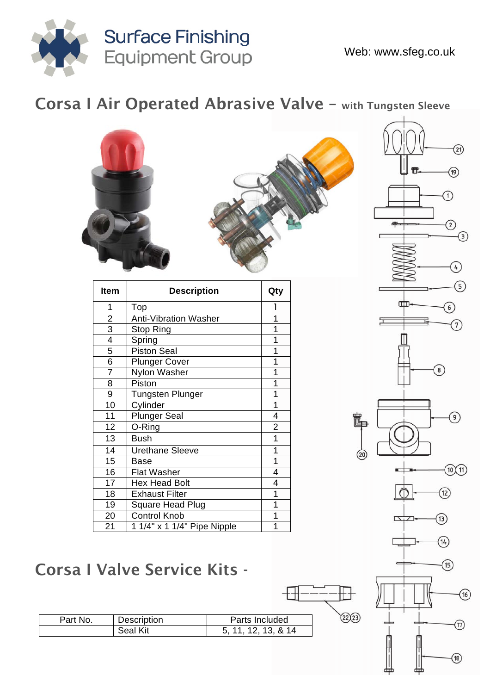

(17)

 $(18)$ 

#### Corsa I Air Operated Abrasive Valve – with Tungsten Sleeve



| Description<br>Part No. |          | Parts Included      |  |
|-------------------------|----------|---------------------|--|
|                         | Seal Kit | 5. 11. 12. 13. & 14 |  |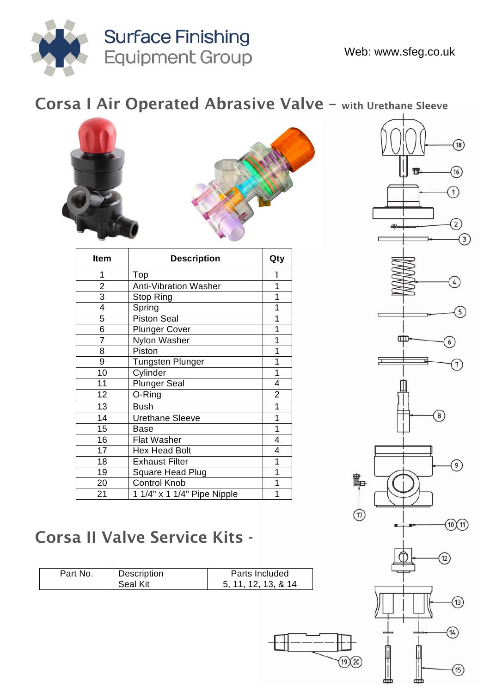

#### Corsa I Air Operated Abrasive Valve – with Urethane Sleeve



| Item                    | <b>Description</b>           | Qty            |
|-------------------------|------------------------------|----------------|
| 1                       | Top                          | 1              |
| $\overline{2}$          | <b>Anti-Vibration Washer</b> | 1              |
| 3                       | Stop Ring                    | 1              |
| $\overline{\mathbf{4}}$ | Spring                       | 1              |
| 5                       | <b>Piston Seal</b>           | 1              |
| 6                       | <b>Plunger Cover</b>         | 1              |
| 7                       | Nylon Washer                 | 1              |
| 8                       | Piston                       | 1              |
| 9                       | <b>Tungsten Plunger</b>      | 1              |
| 10                      | Cylinder                     | 1              |
| 11                      | <b>Plunger Seal</b>          | 4              |
| 12                      | O-Ring                       | $\overline{2}$ |
| 13                      | <b>Bush</b>                  | 1              |
| 14                      | <b>Urethane Sleeve</b>       | 1              |
| 15                      | <b>Base</b>                  | 1              |
| 16                      | <b>Flat Washer</b>           | 4              |
| 17                      | <b>Hex Head Bolt</b>         | 4              |
| 18                      | <b>Exhaust Filter</b>        | 1              |
| 19                      | Square Head Plug             | 1              |
| 20                      | <b>Control Knob</b>          | 1              |
| 21                      | 1 1/4" x 1 1/4" Pipe Nipple  | 1              |



 $\circled{\scriptstyle 14}$ 

 $\circled{\scriptstyle\textrm{15}}$ 

 $(19)(20)$ 

#### Corsa II Valve Service Kits -

| Part No. | Description | Parts Included      |
|----------|-------------|---------------------|
|          | Seal Kit    | 5, 11, 12, 13, & 14 |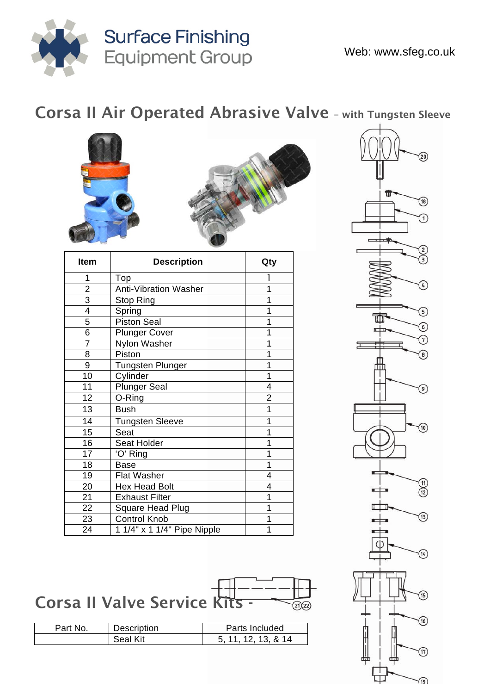

## Corsa II Air Operated Abrasive Valve – with Tungsten Sleeve





| <b>Item</b>    | <b>Description</b>           | Qty            |
|----------------|------------------------------|----------------|
| 1              | Top                          |                |
| $\overline{2}$ | <b>Anti-Vibration Washer</b> | 1              |
| $\overline{3}$ | Stop Ring                    | 1              |
| 4              | Spring                       | 1              |
| 5              | Piston Seal                  | 1              |
| $\overline{6}$ | <b>Plunger Cover</b>         | 1              |
| $\overline{7}$ | Nylon Washer                 | 1              |
| 8              | Piston                       | 1              |
| 9              | <b>Tungsten Plunger</b>      | 1              |
| 10             | Cylinder                     | 1              |
| 11             | <b>Plunger Seal</b>          | 4              |
| 12             | O-Ring                       | $\overline{2}$ |
| 13             | <b>Bush</b>                  | 1              |
| 14             | <b>Tungsten Sleeve</b>       | 1              |
| 15             | Seat                         | 1              |
| 16             | Seat Holder                  | 1              |
| 17             | 'O' Ring                     | 1              |
| 18             | <b>Base</b>                  | 1              |
| 19             | <b>Flat Washer</b>           | 4              |
| 20             | <b>Hex Head Bolt</b>         | 4              |
| 21             | <b>Exhaust Filter</b>        | 1              |
| 22             | Square Head Plug             | 1              |
| 23             | <b>Control Knob</b>          | 1              |
| 24             | 1 1/4" x 1 1/4" Pipe Nipple  | 1              |



 $\sqrt{19}$ 

# Corsa II Valve Service Kits -

| Part No. | Description | Parts Included      |  |
|----------|-------------|---------------------|--|
|          | Seal Kit    | 5. 11. 12. 13. & 14 |  |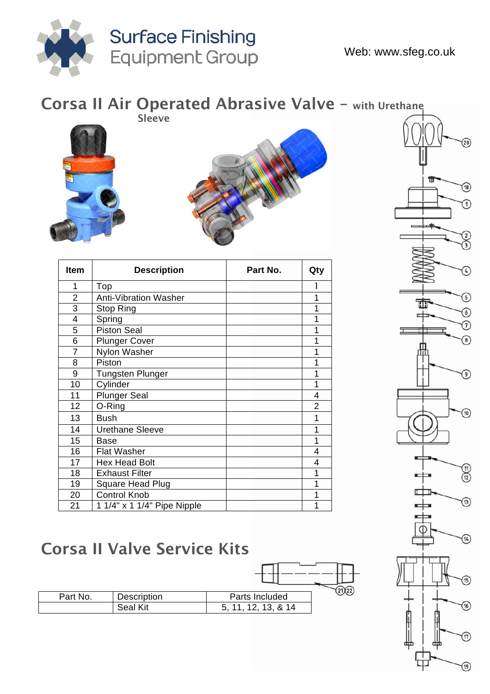



 $\Box$ 

m

#### Corsa II Valve Service Kits

| Part No. | Description     | Parts Included      |  |
|----------|-----------------|---------------------|--|
|          | <b>Seal Kit</b> | 5, 11, 12, 13, & 14 |  |

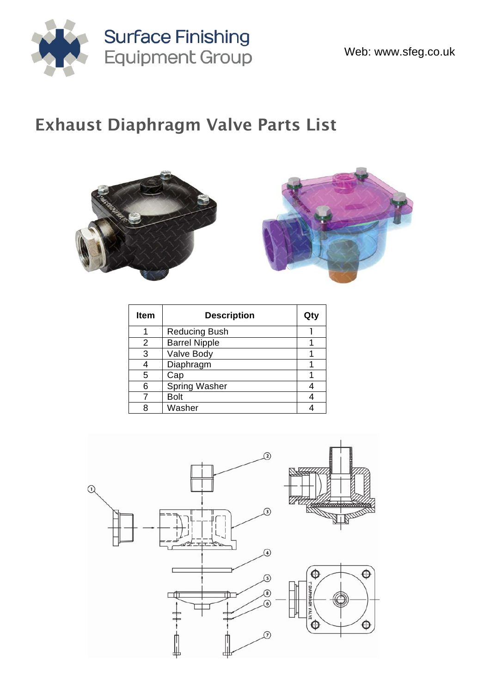

## Exhaust Diaphragm Valve Parts List





| Item | <b>Description</b>   | Qty |
|------|----------------------|-----|
|      | <b>Reducing Bush</b> |     |
| 2    | <b>Barrel Nipple</b> |     |
| 3    | Valve Body           |     |
|      | Diaphragm            |     |
| 5    | Cap                  |     |
| 6    | <b>Spring Washer</b> |     |
|      | <b>Bolt</b>          |     |
| Я    | Washer               |     |

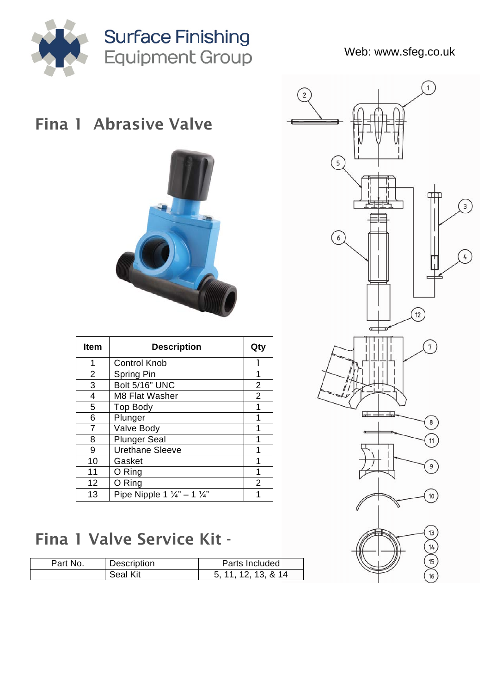

Web: www.sfeg.co.uk

## Fina 1 Abrasive Valve



| <b>Item</b>    | <b>Description</b>                                | Qty            |
|----------------|---------------------------------------------------|----------------|
| 1              | <b>Control Knob</b>                               |                |
| $\overline{2}$ | Spring Pin                                        | 1              |
| 3              | Bolt 5/16" UNC                                    | $\overline{2}$ |
| 4              | M8 Flat Washer                                    | $\overline{2}$ |
| 5              | <b>Top Body</b>                                   | 1              |
| 6              | Plunger                                           | 1              |
| 7              | Valve Body                                        | 1              |
| 8              | <b>Plunger Seal</b>                               | 1              |
| 9              | <b>Urethane Sleeve</b>                            |                |
| 10             | Gasket                                            | 1              |
| 11             | O Ring                                            | 1              |
| 12             | O Ring                                            | 2              |
| 13             | Pipe Nipple 1 $\frac{1}{4}$ " – 1 $\frac{1}{4}$ " |                |

## Fina 1 Valve Service Kit -

| Part No. | Description | Parts Included |
|----------|-------------|----------------|
|          | Seal Kit    | 5.11.12.13.&14 |

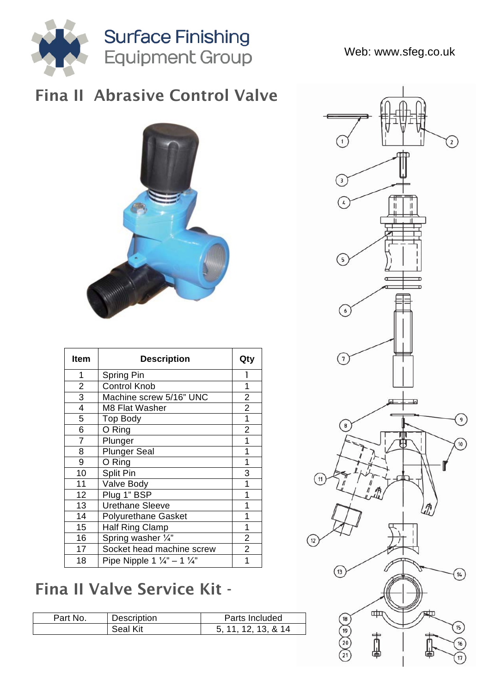

#### Fina II Abrasive Control Valve



| <b>Item</b>             | <b>Description</b>                                | Qty            |
|-------------------------|---------------------------------------------------|----------------|
| 1                       | Spring Pin                                        | 1              |
| $\overline{\mathbf{c}}$ | <b>Control Knob</b>                               | 1              |
| 3                       | Machine screw 5/16" UNC                           | $\overline{2}$ |
| 4                       | M8 Flat Washer                                    | $\overline{2}$ |
| 5                       | <b>Top Body</b>                                   | 1              |
| 6                       | O Ring                                            | $\overline{2}$ |
| 7                       | Plunger                                           | 1              |
| 8                       | <b>Plunger Seal</b>                               | 1              |
| 9                       | O Ring                                            | 1              |
| 10                      | <b>Split Pin</b>                                  | 3              |
| 11                      | Valve Body                                        | 1              |
| 12                      | Plug 1" BSP                                       | 1              |
| 13                      | <b>Urethane Sleeve</b>                            | 1              |
| 14                      | <b>Polyurethane Gasket</b>                        | 1              |
| 15                      | <b>Half Ring Clamp</b>                            | 1              |
| 16                      | Spring washer 1/4"                                | $\overline{2}$ |
| 17                      | Socket head machine screw                         | $\overline{2}$ |
| 18                      | Pipe Nipple 1 $\frac{1}{4}$ " - 1 $\frac{1}{4}$ " | 1              |

## Fina II Valve Service Kit -

| Part No. | Description | Parts Included      |
|----------|-------------|---------------------|
|          | Seal Kit    | 5. 11. 12. 13. & 14 |



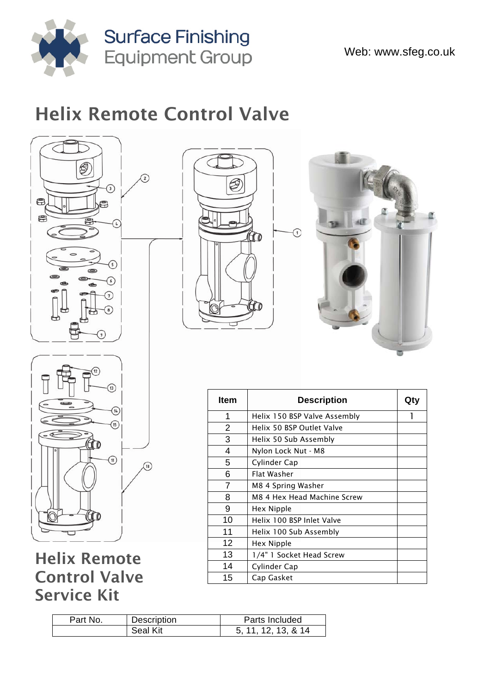

## Helix Remote Control Valve



Helix Remote Control Valve Service Kit





| Item | <b>Description</b>           | Qty |
|------|------------------------------|-----|
| 1    | Helix 150 BSP Valve Assembly |     |
| 2    | Helix 50 BSP Outlet Valve    |     |
| 3    | Helix 50 Sub Assembly        |     |
| 4    | Nylon Lock Nut - M8          |     |
| 5    | Cylinder Cap                 |     |
| 6    | Flat Washer                  |     |
| 7    | M8 4 Spring Washer           |     |
| 8    | M8 4 Hex Head Machine Screw  |     |
| 9    | Hex Nipple                   |     |
| 10   | Helix 100 BSP Inlet Valve    |     |
| 11   | Helix 100 Sub Assembly       |     |
| 12   | Hex Nipple                   |     |
| 13   | 1/4" 1 Socket Head Screw     |     |
| 14   | Cylinder Cap                 |     |
| 15   | Cap Gasket                   |     |

| Part No. | Description | Parts Included      |
|----------|-------------|---------------------|
|          | Seal Kit    | 5, 11, 12, 13, & 14 |